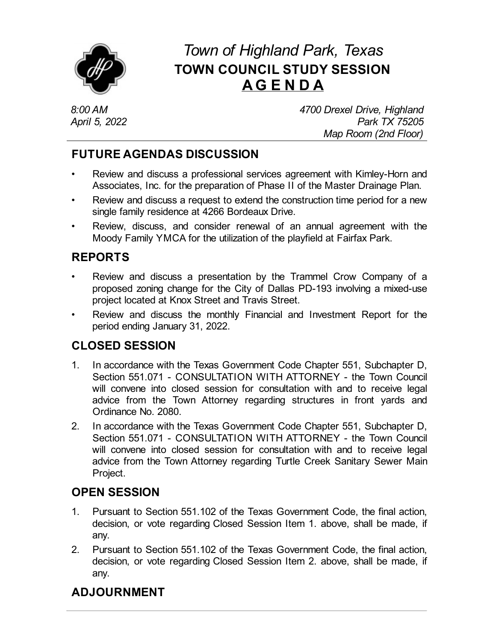

# *Town of Highland Park, Texas* **TOWN COUNCIL STUDY SESSION AG E N D A**

*8:00 AM April 5, 2022* *4700 Drexel Drive, Highland Park TX 75205 Map Room (2nd Floor)*

### **FUTURE AGENDAS DISCUSSION**

- Review and discuss a professional services agreement with [Kimley-Horn](file:///C:/Windows/TEMP/CoverSheet.aspx?ItemID=4580&MeetingID=744) and Associates, Inc. for the preparation of Phase II of the Master Drainage Plan.
- Review and discuss a request to extend the [construction](file:///C:/Windows/TEMP/CoverSheet.aspx?ItemID=4602&MeetingID=744) time period for a new single family residence at 4266 Bordeaux Drive.
- Review, discuss, and consider renewal of an annual [agreement](file:///C:/Windows/TEMP/CoverSheet.aspx?ItemID=4607&MeetingID=744) with the Moody Family YMCA for the utilization of the playfield at Fairfax Park.

## **REPORTS**

- Review and discuss a presentation by the Trammel Crow Company of a proposed zoning change for the City of Dallas PD-193 involving a mixed-use project located at Knox Street and Travis Street.
- Review and discuss the monthly Financial and [Investment](file:///C:/Windows/TEMP/CoverSheet.aspx?ItemID=4604&MeetingID=744) Report for the period ending January 31, 2022.

#### **CLOSED SESSION**

- 1. In accordance with the Texas Government Code Chapter 551, Subchapter D, Section 551.071 - [CONSULTATION](file:///C:/Windows/TEMP/CoverSheet.aspx?ItemID=4609&MeetingID=744) WITH ATTORNEY - the Town Council will convene into closed session for consultation with and to receive legal advice from the Town Attorney regarding structures in front yards and Ordinance No. 2080.
- 2. In accordance with the Texas Government Code Chapter 551, Subchapter D, Section 551.071 - CONSULTATION WITH ATTORNEY - the Town Council will convene into closed session for consultation with and to receive legal advice from the Town Attorney regarding Turtle Creek Sanitary Sewer Main Project.

## **OPEN SESSION**

- 1. Pursuant to Section 551.102 of the Texas Government Code, the final action, decision, or vote regarding Closed Session Item 1. above, shall be made, if any.
- 2. Pursuant to Section 551.102 of the Texas Government Code, the final action, decision, or vote regarding Closed Session Item 2. above, shall be made, if any.

## **ADJOURNMENT**